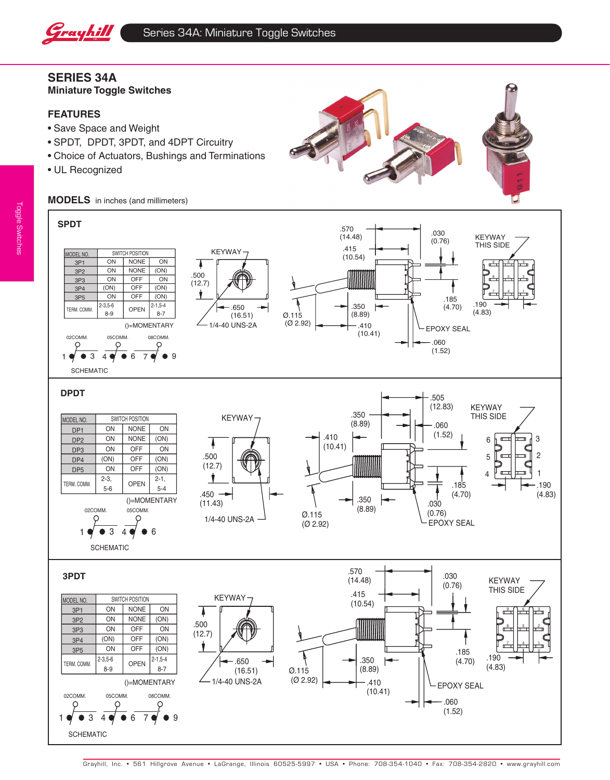

# **Series 34A Miniature Toggle Switches**

## **FEATURES**

- • Save Space and Weight
- • SPDT, DPDT, 3PDT, and 4DPT Circuitry
- • Choice of Actuators, Bushings and Terminations
- UL Recognized



**MODELS** in inches (and millimeters)

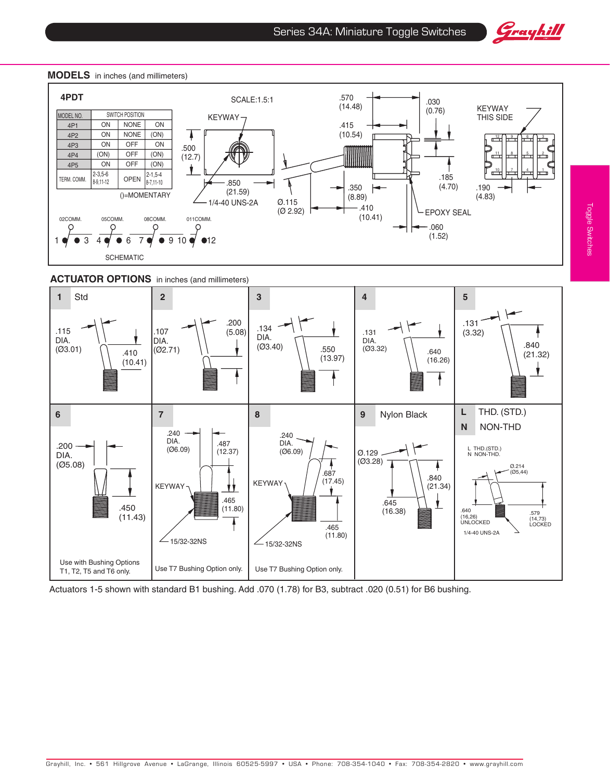



#### **MODELS** in inches (and millimeters)





Actuators 1-5 shown with standard B1 bushing. Add .070 (1.78) for B3, subtract .020 (0.51) for B6 bushing.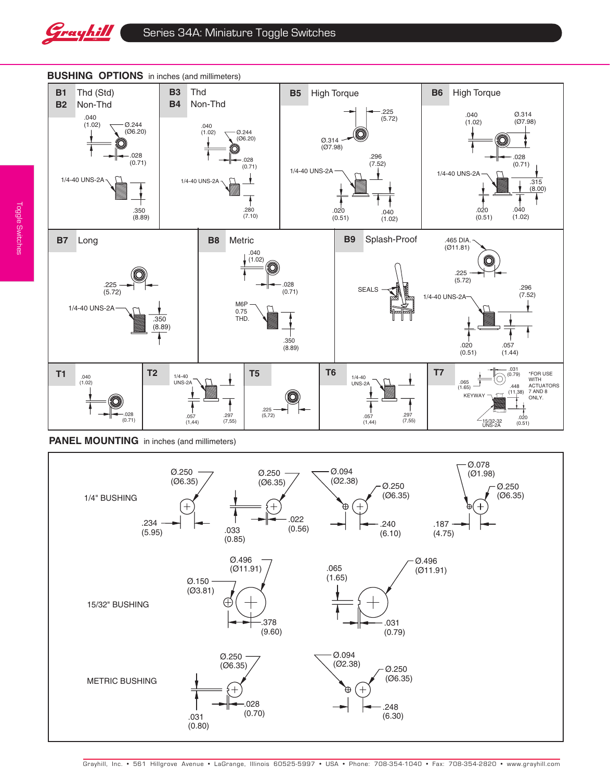



#### **BUSHING OPTIONS** in inches (and millimeters)

**PANEL MOUNTING** in inches (and millimeters)

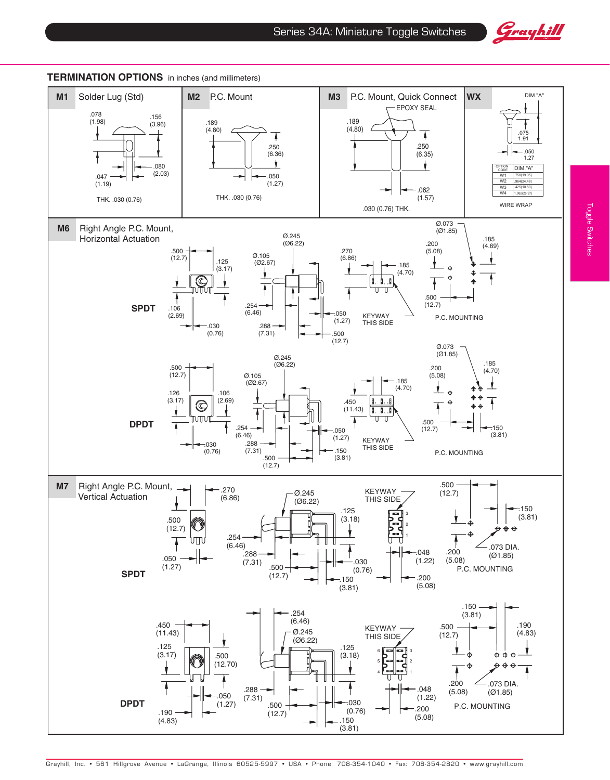





### **TERMINATION OPTIONS** in inches (and millimeters)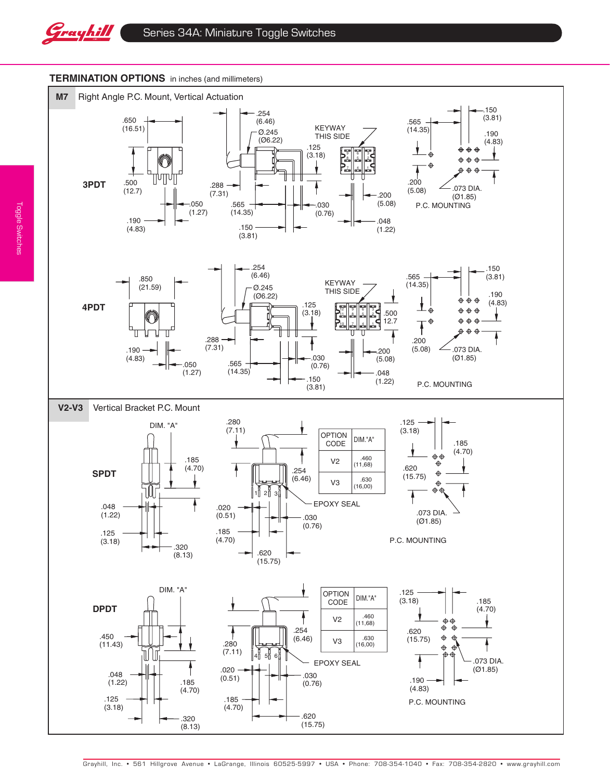

## **TERMINATION OPTIONS** in inches (and millimeters)